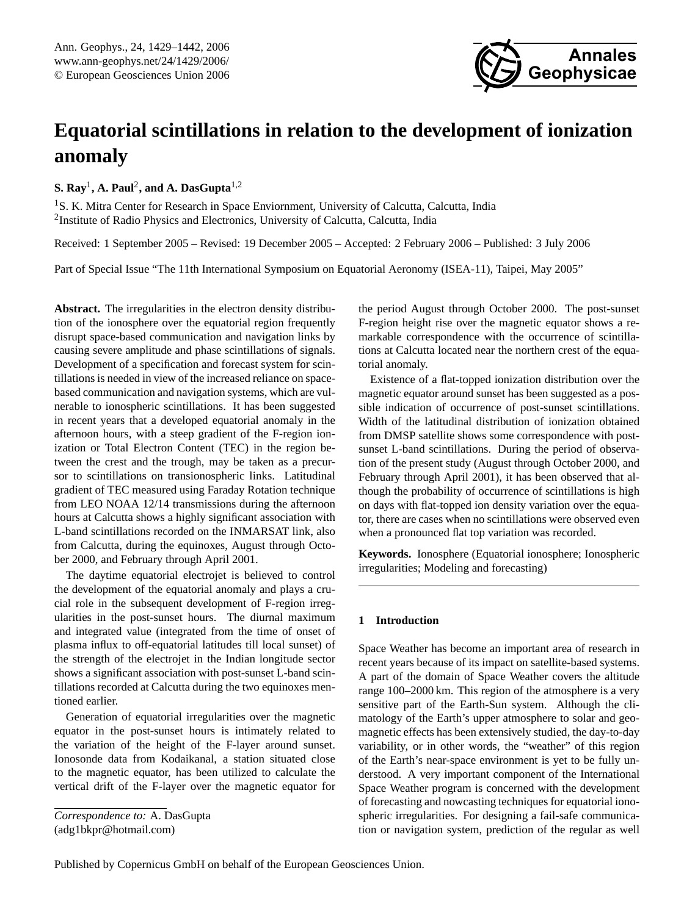

# **Equatorial scintillations in relation to the development of ionization anomaly**

**S. Ray**<sup>1</sup> **, A. Paul**<sup>2</sup> **, and A. DasGupta**1,2

<sup>1</sup>S. K. Mitra Center for Research in Space Enviornment, University of Calcutta, Calcutta, India <sup>2</sup>Institute of Radio Physics and Electronics, University of Calcutta, Calcutta, India

Received: 1 September 2005 – Revised: 19 December 2005 – Accepted: 2 February 2006 – Published: 3 July 2006

Part of Special Issue "The 11th International Symposium on Equatorial Aeronomy (ISEA-11), Taipei, May 2005"

**Abstract.** The irregularities in the electron density distribution of the ionosphere over the equatorial region frequently disrupt space-based communication and navigation links by causing severe amplitude and phase scintillations of signals. Development of a specification and forecast system for scintillations is needed in view of the increased reliance on spacebased communication and navigation systems, which are vulnerable to ionospheric scintillations. It has been suggested in recent years that a developed equatorial anomaly in the afternoon hours, with a steep gradient of the F-region ionization or Total Electron Content (TEC) in the region between the crest and the trough, may be taken as a precursor to scintillations on transionospheric links. Latitudinal gradient of TEC measured using Faraday Rotation technique from LEO NOAA 12/14 transmissions during the afternoon hours at Calcutta shows a highly significant association with L-band scintillations recorded on the INMARSAT link, also from Calcutta, during the equinoxes, August through October 2000, and February through April 2001.

The daytime equatorial electrojet is believed to control the development of the equatorial anomaly and plays a crucial role in the subsequent development of F-region irregularities in the post-sunset hours. The diurnal maximum and integrated value (integrated from the time of onset of plasma influx to off-equatorial latitudes till local sunset) of the strength of the electrojet in the Indian longitude sector shows a significant association with post-sunset L-band scintillations recorded at Calcutta during the two equinoxes mentioned earlier.

Generation of equatorial irregularities over the magnetic equator in the post-sunset hours is intimately related to the variation of the height of the F-layer around sunset. Ionosonde data from Kodaikanal, a station situated close to the magnetic equator, has been utilized to calculate the vertical drift of the F-layer over the magnetic equator for

<span id="page-0-0"></span>*Correspondence to:* A. DasGupta (adg1bkpr@hotmail.com)

the period August through October 2000. The post-sunset F-region height rise over the magnetic equator shows a remarkable correspondence with the occurrence of scintillations at Calcutta located near the northern crest of the equatorial anomaly.

Existence of a flat-topped ionization distribution over the magnetic equator around sunset has been suggested as a possible indication of occurrence of post-sunset scintillations. Width of the latitudinal distribution of ionization obtained from DMSP satellite shows some correspondence with postsunset L-band scintillations. During the period of observation of the present study (August through October 2000, and February through April 2001), it has been observed that although the probability of occurrence of scintillations is high on days with flat-topped ion density variation over the equator, there are cases when no scintillations were observed even when a pronounced flat top variation was recorded.

**Keywords.** Ionosphere (Equatorial ionosphere; Ionospheric irregularities; Modeling and forecasting)

## **1 Introduction**

Space Weather has become an important area of research in recent years because of its impact on satellite-based systems. A part of the domain of Space Weather covers the altitude range 100–2000 km. This region of the atmosphere is a very sensitive part of the Earth-Sun system. Although the climatology of the Earth's upper atmosphere to solar and geomagnetic effects has been extensively studied, the day-to-day variability, or in other words, the "weather" of this region of the Earth's near-space environment is yet to be fully understood. A very important component of the International Space Weather program is concerned with the development of forecasting and nowcasting techniques for equatorial ionospheric irregularities. For designing a fail-safe communication or navigation system, prediction of the regular as well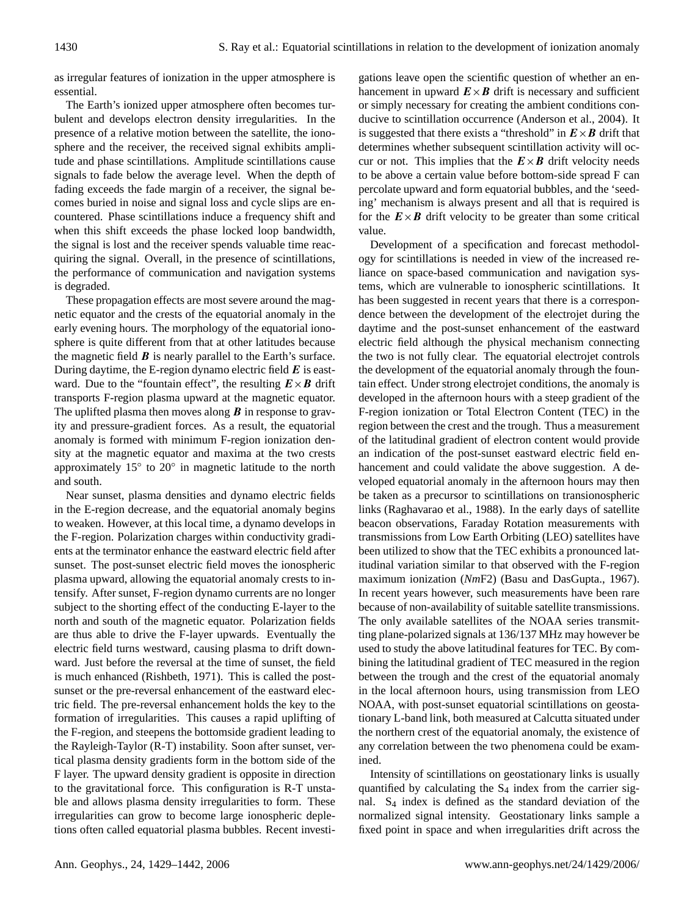as irregular features of ionization in the upper atmosphere is essential.

The Earth's ionized upper atmosphere often becomes turbulent and develops electron density irregularities. In the presence of a relative motion between the satellite, the ionosphere and the receiver, the received signal exhibits amplitude and phase scintillations. Amplitude scintillations cause signals to fade below the average level. When the depth of fading exceeds the fade margin of a receiver, the signal becomes buried in noise and signal loss and cycle slips are encountered. Phase scintillations induce a frequency shift and when this shift exceeds the phase locked loop bandwidth, the signal is lost and the receiver spends valuable time reacquiring the signal. Overall, in the presence of scintillations, the performance of communication and navigation systems is degraded.

These propagation effects are most severe around the magnetic equator and the crests of the equatorial anomaly in the early evening hours. The morphology of the equatorial ionosphere is quite different from that at other latitudes because the magnetic field  $\boldsymbol{B}$  is nearly parallel to the Earth's surface. During daytime, the E-region dynamo electric field  $E$  is eastward. Due to the "fountain effect", the resulting  $E \times B$  drift transports F-region plasma upward at the magnetic equator. The uplifted plasma then moves along  $\bm{B}$  in response to gravity and pressure-gradient forces. As a result, the equatorial anomaly is formed with minimum F-region ionization density at the magnetic equator and maxima at the two crests approximately 15◦ to 20◦ in magnetic latitude to the north and south.

Near sunset, plasma densities and dynamo electric fields in the E-region decrease, and the equatorial anomaly begins to weaken. However, at this local time, a dynamo develops in the F-region. Polarization charges within conductivity gradients at the terminator enhance the eastward electric field after sunset. The post-sunset electric field moves the ionospheric plasma upward, allowing the equatorial anomaly crests to intensify. After sunset, F-region dynamo currents are no longer subject to the shorting effect of the conducting E-layer to the north and south of the magnetic equator. Polarization fields are thus able to drive the F-layer upwards. Eventually the electric field turns westward, causing plasma to drift downward. Just before the reversal at the time of sunset, the field is much enhanced (Rishbeth, 1971). This is called the postsunset or the pre-reversal enhancement of the eastward electric field. The pre-reversal enhancement holds the key to the formation of irregularities. This causes a rapid uplifting of the F-region, and steepens the bottomside gradient leading to the Rayleigh-Taylor (R-T) instability. Soon after sunset, vertical plasma density gradients form in the bottom side of the F layer. The upward density gradient is opposite in direction to the gravitational force. This configuration is R-T unstable and allows plasma density irregularities to form. These irregularities can grow to become large ionospheric depletions often called equatorial plasma bubbles. Recent investigations leave open the scientific question of whether an enhancement in upward  $E \times B$  drift is necessary and sufficient or simply necessary for creating the ambient conditions conducive to scintillation occurrence (Anderson et al., 2004). It is suggested that there exists a "threshold" in  $E \times B$  drift that determines whether subsequent scintillation activity will occur or not. This implies that the  $E \times B$  drift velocity needs to be above a certain value before bottom-side spread F can percolate upward and form equatorial bubbles, and the 'seeding' mechanism is always present and all that is required is for the  $E \times B$  drift velocity to be greater than some critical value.

Development of a specification and forecast methodology for scintillations is needed in view of the increased reliance on space-based communication and navigation systems, which are vulnerable to ionospheric scintillations. It has been suggested in recent years that there is a correspondence between the development of the electrojet during the daytime and the post-sunset enhancement of the eastward electric field although the physical mechanism connecting the two is not fully clear. The equatorial electrojet controls the development of the equatorial anomaly through the fountain effect. Under strong electrojet conditions, the anomaly is developed in the afternoon hours with a steep gradient of the F-region ionization or Total Electron Content (TEC) in the region between the crest and the trough. Thus a measurement of the latitudinal gradient of electron content would provide an indication of the post-sunset eastward electric field enhancement and could validate the above suggestion. A developed equatorial anomaly in the afternoon hours may then be taken as a precursor to scintillations on transionospheric links (Raghavarao et al., 1988). In the early days of satellite beacon observations, Faraday Rotation measurements with transmissions from Low Earth Orbiting (LEO) satellites have been utilized to show that the TEC exhibits a pronounced latitudinal variation similar to that observed with the F-region maximum ionization (*Nm*F2) (Basu and DasGupta., 1967). In recent years however, such measurements have been rare because of non-availability of suitable satellite transmissions. The only available satellites of the NOAA series transmitting plane-polarized signals at 136/137 MHz may however be used to study the above latitudinal features for TEC. By combining the latitudinal gradient of TEC measured in the region between the trough and the crest of the equatorial anomaly in the local afternoon hours, using transmission from LEO NOAA, with post-sunset equatorial scintillations on geostationary L-band link, both measured at Calcutta situated under the northern crest of the equatorial anomaly, the existence of any correlation between the two phenomena could be examined.

Intensity of scintillations on geostationary links is usually quantified by calculating the  $S_4$  index from the carrier signal. S<sup>4</sup> index is defined as the standard deviation of the normalized signal intensity. Geostationary links sample a fixed point in space and when irregularities drift across the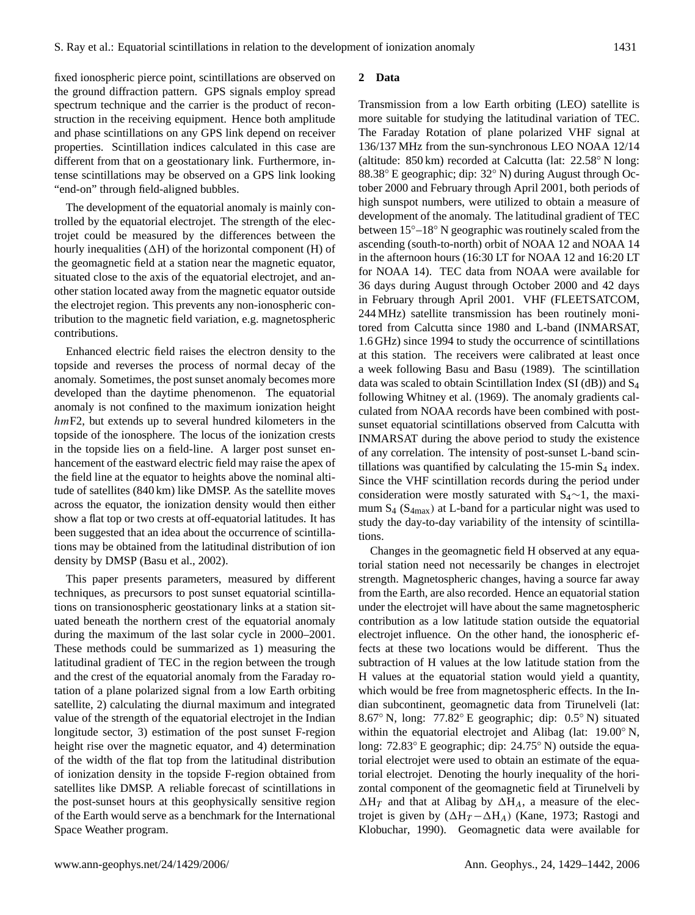fixed ionospheric pierce point, scintillations are observed on the ground diffraction pattern. GPS signals employ spread spectrum technique and the carrier is the product of reconstruction in the receiving equipment. Hence both amplitude and phase scintillations on any GPS link depend on receiver properties. Scintillation indices calculated in this case are different from that on a geostationary link. Furthermore, intense scintillations may be observed on a GPS link looking "end-on" through field-aligned bubbles.

The development of the equatorial anomaly is mainly controlled by the equatorial electrojet. The strength of the electrojet could be measured by the differences between the hourly inequalities ( $\Delta H$ ) of the horizontal component (H) of the geomagnetic field at a station near the magnetic equator, situated close to the axis of the equatorial electrojet, and another station located away from the magnetic equator outside the electrojet region. This prevents any non-ionospheric contribution to the magnetic field variation, e.g. magnetospheric contributions.

Enhanced electric field raises the electron density to the topside and reverses the process of normal decay of the anomaly. Sometimes, the post sunset anomaly becomes more developed than the daytime phenomenon. The equatorial anomaly is not confined to the maximum ionization height hmF2, but extends up to several hundred kilometers in the topside of the ionosphere. The locus of the ionization crests in the topside lies on a field-line. A larger post sunset enhancement of the eastward electric field may raise the apex of the field line at the equator to heights above the nominal altitude of satellites (840 km) like DMSP. As the satellite moves across the equator, the ionization density would then either show a flat top or two crests at off-equatorial latitudes. It has been suggested that an idea about the occurrence of scintillations may be obtained from the latitudinal distribution of ion density by DMSP (Basu et al., 2002).

This paper presents parameters, measured by different techniques, as precursors to post sunset equatorial scintillations on transionospheric geostationary links at a station situated beneath the northern crest of the equatorial anomaly during the maximum of the last solar cycle in 2000–2001. These methods could be summarized as 1) measuring the latitudinal gradient of TEC in the region between the trough and the crest of the equatorial anomaly from the Faraday rotation of a plane polarized signal from a low Earth orbiting satellite, 2) calculating the diurnal maximum and integrated value of the strength of the equatorial electrojet in the Indian longitude sector, 3) estimation of the post sunset F-region height rise over the magnetic equator, and 4) determination of the width of the flat top from the latitudinal distribution of ionization density in the topside F-region obtained from satellites like DMSP. A reliable forecast of scintillations in the post-sunset hours at this geophysically sensitive region of the Earth would serve as a benchmark for the International Space Weather program.

### **2 Data**

Transmission from a low Earth orbiting (LEO) satellite is more suitable for studying the latitudinal variation of TEC. The Faraday Rotation of plane polarized VHF signal at 136/137 MHz from the sun-synchronous LEO NOAA 12/14 (altitude: 850 km) recorded at Calcutta (lat: 22.58◦ N long: 88.38◦ E geographic; dip: 32◦ N) during August through October 2000 and February through April 2001, both periods of high sunspot numbers, were utilized to obtain a measure of development of the anomaly. The latitudinal gradient of TEC between 15◦–18◦ N geographic was routinely scaled from the ascending (south-to-north) orbit of NOAA 12 and NOAA 14 in the afternoon hours (16:30 LT for NOAA 12 and 16:20 LT for NOAA 14). TEC data from NOAA were available for 36 days during August through October 2000 and 42 days in February through April 2001. VHF (FLEETSATCOM, 244 MHz) satellite transmission has been routinely monitored from Calcutta since 1980 and L-band (INMARSAT, 1.6 GHz) since 1994 to study the occurrence of scintillations at this station. The receivers were calibrated at least once a week following Basu and Basu (1989). The scintillation data was scaled to obtain Scintillation Index (SI (dB)) and  $S_4$ following Whitney et al. (1969). The anomaly gradients calculated from NOAA records have been combined with postsunset equatorial scintillations observed from Calcutta with INMARSAT during the above period to study the existence of any correlation. The intensity of post-sunset L-band scintillations was quantified by calculating the 15-min  $S_4$  index. Since the VHF scintillation records during the period under consideration were mostly saturated with  $S_4 \sim 1$ , the maximum  $S_4$  ( $S_{4max}$ ) at L-band for a particular night was used to study the day-to-day variability of the intensity of scintillations.

Changes in the geomagnetic field H observed at any equatorial station need not necessarily be changes in electrojet strength. Magnetospheric changes, having a source far away from the Earth, are also recorded. Hence an equatorial station under the electrojet will have about the same magnetospheric contribution as a low latitude station outside the equatorial electrojet influence. On the other hand, the ionospheric effects at these two locations would be different. Thus the subtraction of H values at the low latitude station from the H values at the equatorial station would yield a quantity, which would be free from magnetospheric effects. In the Indian subcontinent, geomagnetic data from Tirunelveli (lat: 8.67◦ N, long: 77.82◦ E geographic; dip: 0.5◦ N) situated within the equatorial electrojet and Alibag (lat: 19.00°N, long: 72.83◦ E geographic; dip: 24.75◦ N) outside the equatorial electrojet were used to obtain an estimate of the equatorial electrojet. Denoting the hourly inequality of the horizontal component of the geomagnetic field at Tirunelveli by  $\Delta H_T$  and that at Alibag by  $\Delta H_A$ , a measure of the electrojet is given by  $(\Delta H_T - \Delta H_A)$  (Kane, 1973; Rastogi and Klobuchar, 1990). Geomagnetic data were available for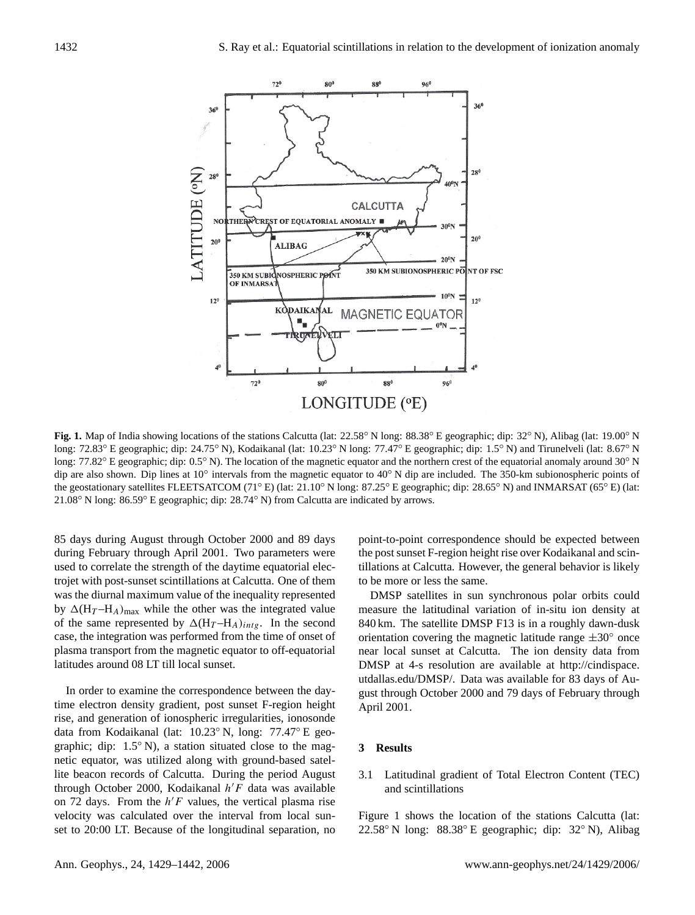

**Fig. 1.** Map of India showing locations of the stations Calcutta (lat: 22.58◦ N long: 88.38◦ E geographic; dip: 32◦ N), Alibag (lat: 19.00◦ N long: 72.83◦ E geographic; dip: 24.75◦ N), Kodaikanal (lat: 10.23◦ N long: 77.47◦ E geographic; dip: 1.5◦ N) and Tirunelveli (lat: 8.67◦ N long: 77.82◦ E geographic; dip: 0.5◦ N). The location of the magnetic equator and the northern crest of the equatorial anomaly around 30◦ N dip are also shown. Dip lines at 10° intervals from the magnetic equator to 40°N dip are included. The 350-km subionospheric points of the geostationary satellites FLEETSATCOM (71◦ E) (lat: 21.10◦ N long: 87.25◦ E geographic; dip: 28.65◦ N) and INMARSAT (65◦ E) (lat: 21.08◦ N long: 86.59◦ E geographic; dip: 28.74◦ N) from Calcutta are indicated by arrows.

85 days during August through October 2000 and 89 days during February through April 2001. Two parameters were used to correlate the strength of the daytime equatorial electrojet with post-sunset scintillations at Calcutta. One of them was the diurnal maximum value of the inequality represented by  $\Delta (H_T - H_A)_{\text{max}}$  while the other was the integrated value of the same represented by  $\Delta(H_T - H_A)_{intg}$ . In the second case, the integration was performed from the time of onset of plasma transport from the magnetic equator to off-equatorial latitudes around 08 LT till local sunset.

In order to examine the correspondence between the daytime electron density gradient, post sunset F-region height rise, and generation of ionospheric irregularities, ionosonde data from Kodaikanal (lat: 10.23◦ N, long: 77.47◦ E geographic; dip:  $1.5°$  N), a station situated close to the magnetic equator, was utilized along with ground-based satellite beacon records of Calcutta. During the period August through October 2000, Kodaikanal  $h'F$  data was available on 72 days. From the  $h'F$  values, the vertical plasma rise velocity was calculated over the interval from local sunset to 20:00 LT. Because of the longitudinal separation, no point-to-point correspondence should be expected between the post sunset F-region height rise over Kodaikanal and scintillations at Calcutta. However, the general behavior is likely to be more or less the same.

DMSP satellites in sun synchronous polar orbits could measure the latitudinal variation of in-situ ion density at 840 km. The satellite DMSP F13 is in a roughly dawn-dusk orientation covering the magnetic latitude range  $\pm 30^\circ$  once near local sunset at Calcutta. The ion density data from DMSP at 4-s resolution are available at [http://cindispace.](http://cindispace.utdallas.edu/DMSP/) [utdallas.edu/DMSP/.](http://cindispace.utdallas.edu/DMSP/) Data was available for 83 days of August through October 2000 and 79 days of February through April 2001.

## **3 Results**

3.1 Latitudinal gradient of Total Electron Content (TEC) and scintillations

Figure 1 shows the location of the stations Calcutta (lat: 22.58◦ N long: 88.38◦ E geographic; dip: 32◦ N), Alibag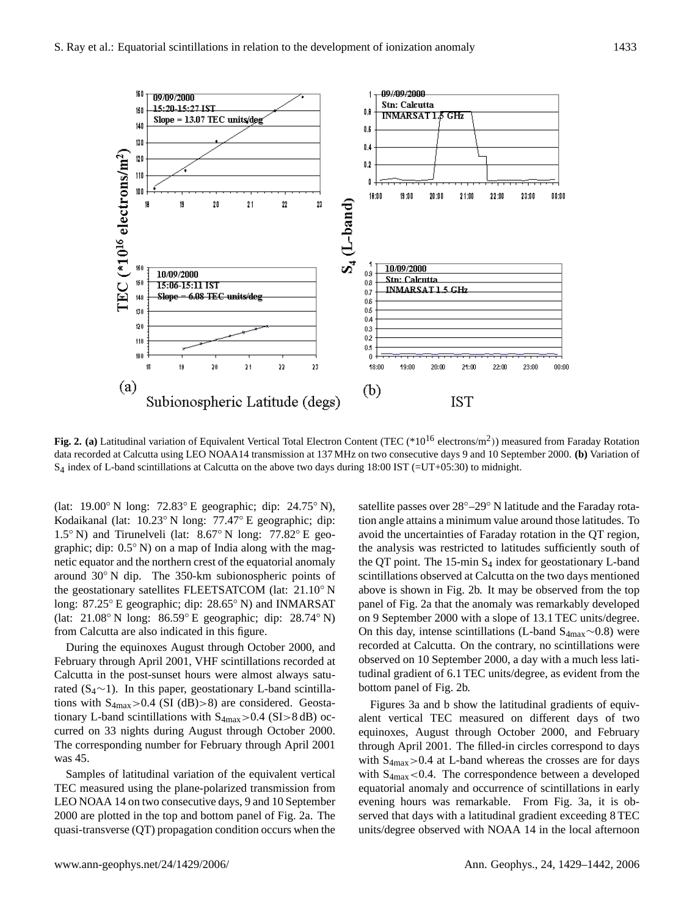

Fig. 2. (a) Latitudinal variation of Equivalent Vertical Total Electron Content (TEC (\*10<sup>16</sup> electrons/m<sup>2</sup>)) measured from Faraday Rotation data recorded at Calcutta using LEO NOAA14 transmission at 137 MHz on two consecutive days 9 and 10 September 2000. **(b)** Variation of  $S_4$  index of L-band scintillations at Calcutta on the above two days during 18:00 IST (=UT+05:30) to midnight.

(lat: 19.00◦ N long: 72.83◦ E geographic; dip: 24.75◦ N), Kodaikanal (lat: 10.23◦ N long: 77.47◦ E geographic; dip: 1.5◦ N) and Tirunelveli (lat: 8.67◦ N long: 77.82◦ E geographic; dip:  $0.5°$  N) on a map of India along with the magnetic equator and the northern crest of the equatorial anomaly around 30◦ N dip. The 350-km subionospheric points of the geostationary satellites FLEETSATCOM (lat: 21.10◦ N long: 87.25◦ E geographic; dip: 28.65◦ N) and INMARSAT (lat: 21.08◦ N long: 86.59◦ E geographic; dip: 28.74◦ N) from Calcutta are also indicated in this figure.

During the equinoxes August through October 2000, and February through April 2001, VHF scintillations recorded at Calcutta in the post-sunset hours were almost always saturated  $(S_4 \sim 1)$ . In this paper, geostationary L-band scintillations with  $S_{4max} > 0.4$  (SI (dB) $> 8$ ) are considered. Geostationary L-band scintillations with  $S_{4max} > 0.4$  (SI $> 8$  dB) occurred on 33 nights during August through October 2000. The corresponding number for February through April 2001 was 45.

Samples of latitudinal variation of the equivalent vertical TEC measured using the plane-polarized transmission from LEO NOAA 14 on two consecutive days, 9 and 10 September 2000 are plotted in the top and bottom panel of Fig. 2a. The quasi-transverse (QT) propagation condition occurs when the satellite passes over 28◦–29◦ N latitude and the Faraday rotation angle attains a minimum value around those latitudes. To avoid the uncertainties of Faraday rotation in the QT region, the analysis was restricted to latitudes sufficiently south of the QT point. The  $15$ -min  $S_4$  index for geostationary L-band scintillations observed at Calcutta on the two days mentioned above is shown in Fig. 2b. It may be observed from the top panel of Fig. 2a that the anomaly was remarkably developed on 9 September 2000 with a slope of 13.1 TEC units/degree. On this day, intense scintillations (L-band  $S_{4max}$ ∼0.8) were recorded at Calcutta. On the contrary, no scintillations were observed on 10 September 2000, a day with a much less latitudinal gradient of 6.1 TEC units/degree, as evident from the bottom panel of Fig. 2b.

Figures 3a and b show the latitudinal gradients of equivalent vertical TEC measured on different days of two equinoxes, August through October 2000, and February through April 2001. The filled-in circles correspond to days with  $S_{4max}$  > 0.4 at L-band whereas the crosses are for days with  $S_{4max}$  < 0.4. The correspondence between a developed equatorial anomaly and occurrence of scintillations in early evening hours was remarkable. From Fig. 3a, it is observed that days with a latitudinal gradient exceeding 8 TEC units/degree observed with NOAA 14 in the local afternoon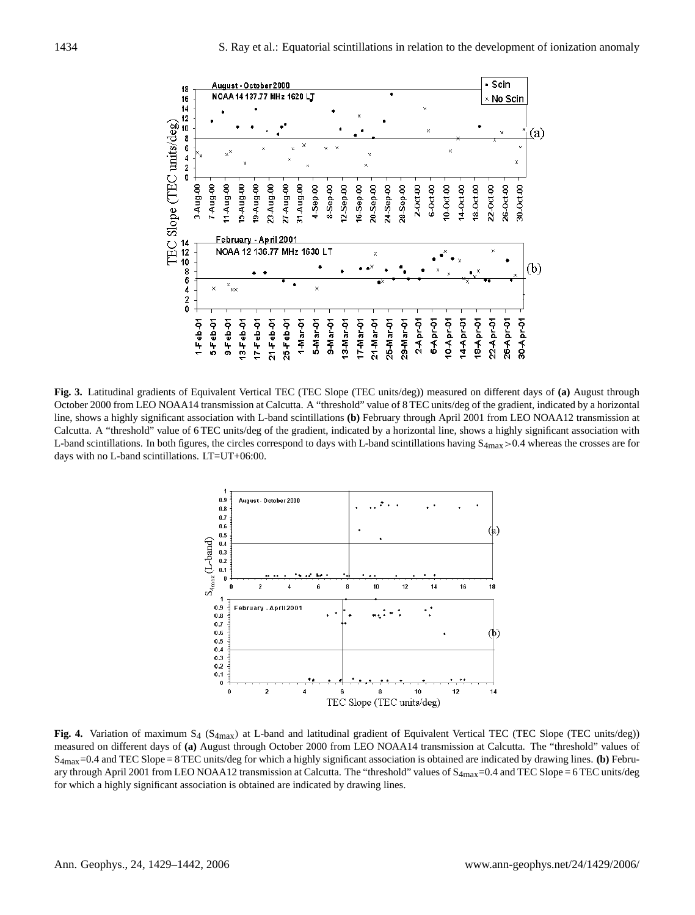

**Fig. 3.** Latitudinal gradients of Equivalent Vertical TEC (TEC Slope (TEC units/deg)) measured on different days of **(a)** August through October 2000 from LEO NOAA14 transmission at Calcutta. A "threshold" value of 8 TEC units/deg of the gradient, indicated by a horizontal line, shows a highly significant association with L-band scintillations **(b)** February through April 2001 from LEO NOAA12 transmission at Calcutta. A "threshold" value of 6 TEC units/deg of the gradient, indicated by a horizontal line, shows a highly significant association with L-band scintillations. In both figures, the circles correspond to days with L-band scintillations having  $S_{4max} > 0.4$  whereas the crosses are for days with no L-band scintillations. LT=UT+06:00.



Fig. 4. Variation of maximum S<sub>4</sub> (S<sub>4max</sub>) at L-band and latitudinal gradient of Equivalent Vertical TEC (TEC Slope (TEC units/deg)) measured on different days of **(a)** August through October 2000 from LEO NOAA14 transmission at Calcutta. The "threshold" values of S4max=0.4 and TEC Slope = 8 TEC units/deg for which a highly significant association is obtained are indicated by drawing lines. **(b)** February through April 2001 from LEO NOAA12 transmission at Calcutta. The "threshold" values of  $S_{4max}$ =0.4 and TEC Slope = 6 TEC units/deg for which a highly significant association is obtained are indicated by drawing lines.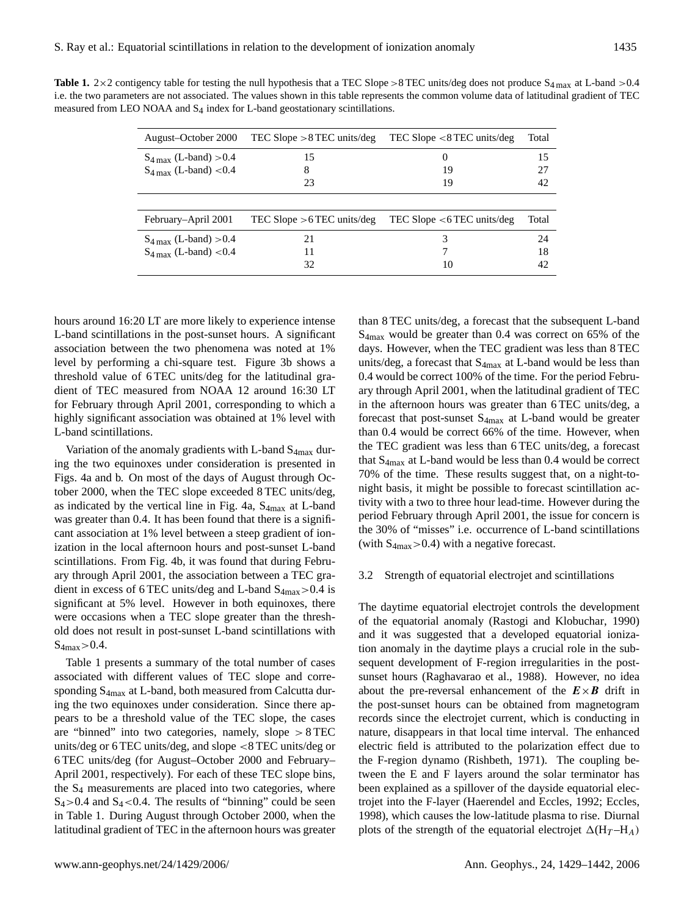**Table 1.**  $2 \times 2$  contigency table for testing the null hypothesis that a TEC Slope >8 TEC units/deg does not produce  $S_{4 \text{ max}}$  at L-band >0.4 i.e. the two parameters are not associated. The values shown in this table represents the common volume data of latitudinal gradient of TEC measured from LEO NOAA and  $S_4$  index for L-band geostationary scintillations.

| August-October 2000               | TEC Slope $>8$ TEC units/deg | TEC Slope $\langle 8$ TEC units/deg | Total |
|-----------------------------------|------------------------------|-------------------------------------|-------|
| $S_{4 \max}$ (L-band) > 0.4       | 15<br>$\theta$               |                                     | 15    |
| $S_{4 \text{ max}}$ (L-band) <0.4 | 8                            | 19                                  | 27    |
|                                   | 23                           | 19                                  | 42    |
| February–April 2001               | TEC Slope $>6$ TEC units/deg | TEC Slope $<$ 6 TEC units/deg       | Total |
| $S_{4 \max}$ (L-band) > 0.4       | 21                           | 3                                   |       |
| $S_{4 \text{ max}}$ (L-band) <0.4 | 11                           |                                     | 18    |
|                                   | 32                           | 10                                  | 42    |

hours around 16:20 LT are more likely to experience intense L-band scintillations in the post-sunset hours. A significant association between the two phenomena was noted at 1% level by performing a chi-square test. Figure 3b shows a threshold value of 6 TEC units/deg for the latitudinal gradient of TEC measured from NOAA 12 around 16:30 LT for February through April 2001, corresponding to which a highly significant association was obtained at 1% level with L-band scintillations.

Variation of the anomaly gradients with L-band  $S_{4max}$  during the two equinoxes under consideration is presented in Figs. 4a and b. On most of the days of August through October 2000, when the TEC slope exceeded 8 TEC units/deg, as indicated by the vertical line in Fig. 4a,  $S_{4max}$  at L-band was greater than 0.4. It has been found that there is a significant association at 1% level between a steep gradient of ionization in the local afternoon hours and post-sunset L-band scintillations. From Fig. 4b, it was found that during February through April 2001, the association between a TEC gradient in excess of 6 TEC units/deg and L-band  $S_{4max} > 0.4$  is significant at 5% level. However in both equinoxes, there were occasions when a TEC slope greater than the threshold does not result in post-sunset L-band scintillations with  $S_{4max} > 0.4$ .

Table 1 presents a summary of the total number of cases associated with different values of TEC slope and corresponding  $S_{4max}$  at L-band, both measured from Calcutta during the two equinoxes under consideration. Since there appears to be a threshold value of the TEC slope, the cases are "binned" into two categories, namely, slope  $> 8$  TEC units/deg or 6 TEC units/deg, and slope <8 TEC units/deg or 6 TEC units/deg (for August–October 2000 and February– April 2001, respectively). For each of these TEC slope bins, the  $S_4$  measurements are placed into two categories, where  $S_4$  > 0.4 and  $S_4$  < 0.4. The results of "binning" could be seen in Table 1. During August through October 2000, when the latitudinal gradient of TEC in the afternoon hours was greater than 8 TEC units/deg, a forecast that the subsequent L-band S4max would be greater than 0.4 was correct on 65% of the days. However, when the TEC gradient was less than 8 TEC units/deg, a forecast that  $S_{4max}$  at L-band would be less than 0.4 would be correct 100% of the time. For the period February through April 2001, when the latitudinal gradient of TEC in the afternoon hours was greater than 6 TEC units/deg, a forecast that post-sunset  $S_{4max}$  at L-band would be greater than 0.4 would be correct 66% of the time. However, when the TEC gradient was less than 6 TEC units/deg, a forecast that  $S_{4max}$  at L-band would be less than 0.4 would be correct 70% of the time. These results suggest that, on a night-tonight basis, it might be possible to forecast scintillation activity with a two to three hour lead-time. However during the period February through April 2001, the issue for concern is the 30% of "misses" i.e. occurrence of L-band scintillations (with  $S_{4max}$  > 0.4) with a negative forecast.

#### 3.2 Strength of equatorial electrojet and scintillations

The daytime equatorial electrojet controls the development of the equatorial anomaly (Rastogi and Klobuchar, 1990) and it was suggested that a developed equatorial ionization anomaly in the daytime plays a crucial role in the subsequent development of F-region irregularities in the postsunset hours (Raghavarao et al., 1988). However, no idea about the pre-reversal enhancement of the  $E \times B$  drift in the post-sunset hours can be obtained from magnetogram records since the electrojet current, which is conducting in nature, disappears in that local time interval. The enhanced electric field is attributed to the polarization effect due to the F-region dynamo (Rishbeth, 1971). The coupling between the E and F layers around the solar terminator has been explained as a spillover of the dayside equatorial electrojet into the F-layer (Haerendel and Eccles, 1992; Eccles, 1998), which causes the low-latitude plasma to rise. Diurnal plots of the strength of the equatorial electrojet  $\Delta(H_T - H_A)$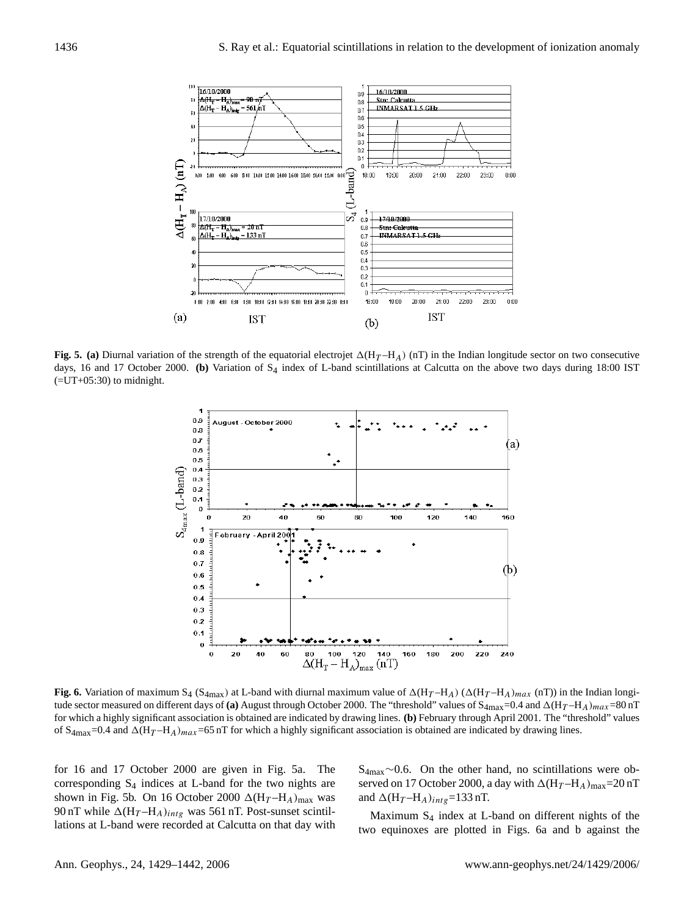

Fig. 5. (a) Diurnal variation of the strength of the equatorial electrojet  $\Delta(H_T-H_A)$  (nT) in the Indian longitude sector on two consecutive days, 16 and 17 October 2000. **(b)** Variation of S<sub>4</sub> index of L-band scintillations at Calcutta on the above two days during 18:00 IST  $(=U T+05:30)$  to midnight.



**Fig. 6.** Variation of maximum S<sub>4</sub> (S<sub>4max</sub>) at L-band with diurnal maximum value of  $\Delta(H_T-H_A)$  ( $\Delta(H_T-H_A)_{max}$  (nT)) in the Indian longitude sector measured on different days of (a) August through October 2000. The "threshold" values of  $S_{4max}=0.4$  and  $\Delta(H_T-H_A)_{max}=80$  nT for which a highly significant association is obtained are indicated by drawing lines. **(b)** February through April 2001. The "threshold" values of  $S_{4max}=0.4$  and  $\Delta (H_T-H_A)_{max}=65$  nT for which a highly significant association is obtained are indicated by drawing lines.

for 16 and 17 October 2000 are given in Fig. 5a. The corresponding S<sup>4</sup> indices at L-band for the two nights are shown in Fig. 5b. On 16 October 2000  $\Delta (H_T-H_A)_{max}$  was 90 nT while  $\Delta (H_T - H_A)_{intg}$  was 561 nT. Post-sunset scintillations at L-band were recorded at Calcutta on that day with S4max∼0.6. On the other hand, no scintillations were observed on 17 October 2000, a day with  $\Delta (H_T-H_A)_{max}=20$  nT and  $\Delta (H_T - H_A)_{intg} = 133$  nT.

Maximum  $S_4$  index at L-band on different nights of the two equinoxes are plotted in Figs. 6a and b against the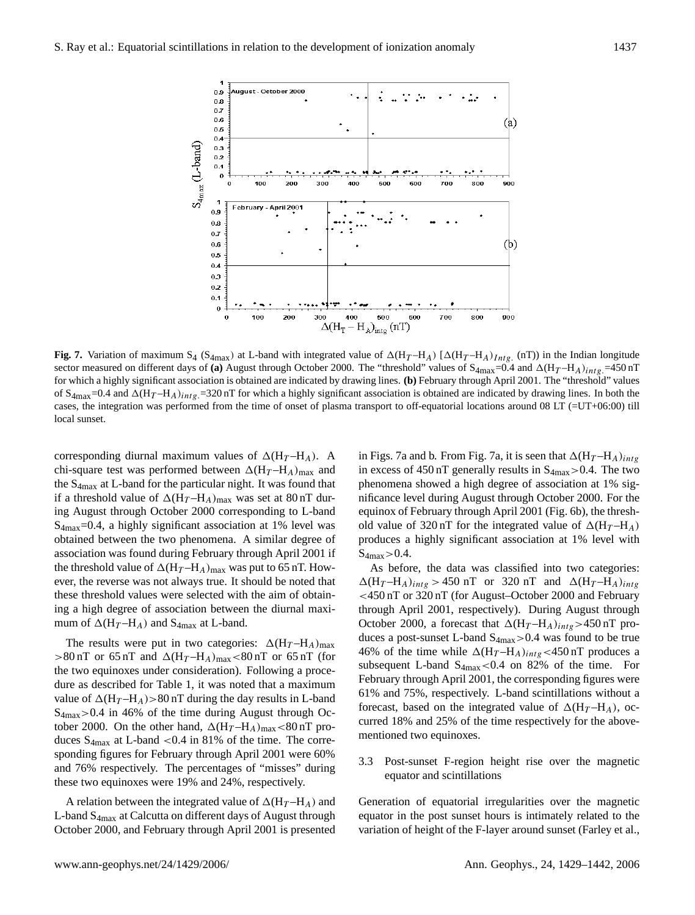

**Fig. 7.** Variation of maximum S<sub>4</sub> (S<sub>4max</sub>) at L-band with integrated value of  $\Delta(H_T-H_A)$  [ $\Delta(H_T-H_A)$ ]<sub>Intg.</sub> (nT)) in the Indian longitude sector measured on different days of (a) August through October 2000. The "threshold" values of  $S_{4max}=0.4$  and  $\Delta(H_T-H_A)_{intg}=450$  nT for which a highly significant association is obtained are indicated by drawing lines. **(b)** February through April 2001. The "threshold" values of  $S_{4max}=0.4$  and  $\Delta (H_T-H_A)_{inq}$ , =320 nT for which a highly significant association is obtained are indicated by drawing lines. In both the cases, the integration was performed from the time of onset of plasma transport to off-equatorial locations around 08 LT (=UT+06:00) till local sunset.

corresponding diurnal maximum values of  $\Delta(H_T-H_A)$ . A chi-square test was performed between  $\Delta (H_T - H_A)_{\text{max}}$  and the S4max at L-band for the particular night. It was found that if a threshold value of  $\Delta (H_T - H_A)_{max}$  was set at 80 nT during August through October 2000 corresponding to L-band  $S_{4max}=0.4$ , a highly significant association at 1% level was obtained between the two phenomena. A similar degree of association was found during February through April 2001 if the threshold value of  $\Delta (H_T - H_A)_{max}$  was put to 65 nT. However, the reverse was not always true. It should be noted that these threshold values were selected with the aim of obtaining a high degree of association between the diurnal maximum of  $\Delta(H_T-H_A)$  and  $S_{4max}$  at L-band.

The results were put in two categories:  $\Delta (H_T - H_A)_{\text{max}}$  $>80 \text{ nT}$  or 65 nT and  $\Delta (H_T - H_A)_{\text{max}} < 80 \text{ nT}$  or 65 nT (for the two equinoxes under consideration). Following a procedure as described for Table 1, it was noted that a maximum value of  $\Delta(H_T - H_A) > 80$  nT during the day results in L-band  $S_{4max}$  > 0.4 in 46% of the time during August through October 2000. On the other hand,  $\Delta(H_T-H_A)_{\text{max}}<80$  nT produces  $S_{4max}$  at L-band <0.4 in 81% of the time. The corresponding figures for February through April 2001 were 60% and 76% respectively. The percentages of "misses" during these two equinoxes were 19% and 24%, respectively.

A relation between the integrated value of  $\Delta(H_T-H_A)$  and L-band S4max at Calcutta on different days of August through October 2000, and February through April 2001 is presented in Figs. 7a and b. From Fig. 7a, it is seen that  $\Delta(H_T - H_A)_{intg}$ in excess of  $450 \text{ nT}$  generally results in  $S_{4\text{max}} > 0.4$ . The two phenomena showed a high degree of association at 1% significance level during August through October 2000. For the equinox of February through April 2001 (Fig. 6b), the threshold value of 320 nT for the integrated value of  $\Delta(H_T - H_A)$ produces a highly significant association at 1% level with  $S_{4max} > 0.4$ .

As before, the data was classified into two categories:  $\Delta(H_T - H_A)_{intg} > 450$  nT or 320 nT and  $\Delta(H_T - H_A)_{intg}$ <450 nT or 320 nT (for August–October 2000 and February through April 2001, respectively). During August through October 2000, a forecast that  $\Delta (H_T - H_A)_{intg} > 450$  nT produces a post-sunset L-band  $S_{4max} > 0.4$  was found to be true 46% of the time while  $\Delta(H_T - H_A)_{intg}$  <450 nT produces a subsequent L-band  $S_{4max}$  < 0.4 on 82% of the time. For February through April 2001, the corresponding figures were 61% and 75%, respectively. L-band scintillations without a forecast, based on the integrated value of  $\Delta(H_T-H_A)$ , occurred 18% and 25% of the time respectively for the abovementioned two equinoxes.

3.3 Post-sunset F-region height rise over the magnetic equator and scintillations

Generation of equatorial irregularities over the magnetic equator in the post sunset hours is intimately related to the variation of height of the F-layer around sunset (Farley et al.,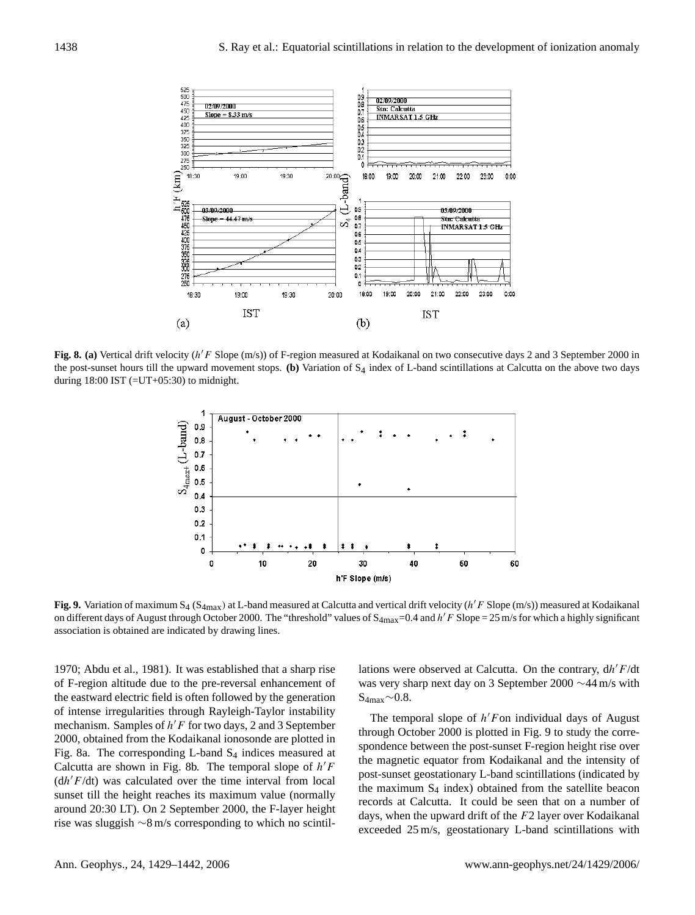

Fig. 8. (a) Vertical drift velocity (h' F Slope (m/s)) of F-region measured at Kodaikanal on two consecutive days 2 and 3 September 2000 in the post-sunset hours till the upward movement stops. **(b)** Variation of S4 index of L-band scintillations at Calcutta on the above two days during  $18:00$  IST (=UT+05:30) to midnight.



Fig. 9. Variation of maximum S<sub>4</sub> (S<sub>4max</sub>) at L-band measured at Calcutta and vertical drift velocity (*h' F* Slope (m/s)) measured at Kodaikanal on different days of August through October 2000. The "threshold" values of  $S_{4max}$ =0.4 and  $h'FSlope = 25$  m/s for which a highly significant association is obtained are indicated by drawing lines.

1970; Abdu et al., 1981). It was established that a sharp rise of F-region altitude due to the pre-reversal enhancement of the eastward electric field is often followed by the generation of intense irregularities through Rayleigh-Taylor instability mechanism. Samples of  $h'F$  for two days, 2 and 3 September 2000, obtained from the Kodaikanal ionosonde are plotted in Fig. 8a. The corresponding L-band  $S_4$  indices measured at Calcutta are shown in Fig. 8b. The temporal slope of  $h'F$  $(dh'F/dt)$  was calculated over the time interval from local sunset till the height reaches its maximum value (normally around 20:30 LT). On 2 September 2000, the F-layer height rise was sluggish ∼8 m/s corresponding to which no scintil-

lations were observed at Calcutta. On the contrary,  $dh'F/dt$ was very sharp next day on 3 September 2000 ∼44 m/s with S<sub>4max</sub> $∼0.8$ .

The temporal slope of  $h'$  F on individual days of August through October 2000 is plotted in Fig. 9 to study the correspondence between the post-sunset F-region height rise over the magnetic equator from Kodaikanal and the intensity of post-sunset geostationary L-band scintillations (indicated by the maximum  $S_4$  index) obtained from the satellite beacon records at Calcutta. It could be seen that on a number of days, when the upward drift of the F2 layer over Kodaikanal exceeded 25 m/s, geostationary L-band scintillations with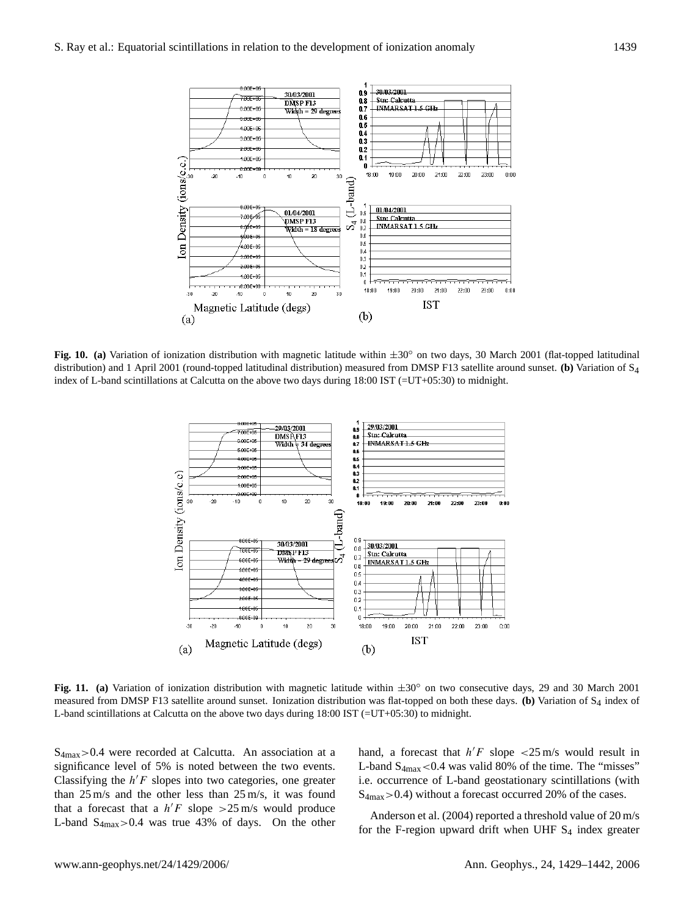

**Fig. 10. (a)** Variation of ionization distribution with magnetic latitude within ±30◦ on two days, 30 March 2001 (flat-topped latitudinal distribution) and 1 April 2001 (round-topped latitudinal distribution) measured from DMSP F13 satellite around sunset. **(b)** Variation of S4 index of L-band scintillations at Calcutta on the above two days during 18:00 IST (=UT+05:30) to midnight.



**Fig. 11. (a)** Variation of ionization distribution with magnetic latitude within ±30◦ on two consecutive days, 29 and 30 March 2001 measured from DMSP F13 satellite around sunset. Ionization distribution was flat-topped on both these days. **(b)** Variation of S4 index of L-band scintillations at Calcutta on the above two days during 18:00 IST (=UT+05:30) to midnight.

 $S_{4max}$  > 0.4 were recorded at Calcutta. An association at a significance level of 5% is noted between the two events. Classifying the  $h'F$  slopes into two categories, one greater than 25 m/s and the other less than 25 m/s, it was found that a forecast that a  $h'F$  slope >25 m/s would produce L-band  $S_{4max} > 0.4$  was true 43% of days. On the other

hand, a forecast that  $h'F$  slope <25 m/s would result in L-band  $S_{4max}$  < 0.4 was valid 80% of the time. The "misses" i.e. occurrence of L-band geostationary scintillations (with  $S_{4max}$  > 0.4) without a forecast occurred 20% of the cases.

Anderson et al. (2004) reported a threshold value of 20 m/s for the F-region upward drift when UHF  $S<sub>4</sub>$  index greater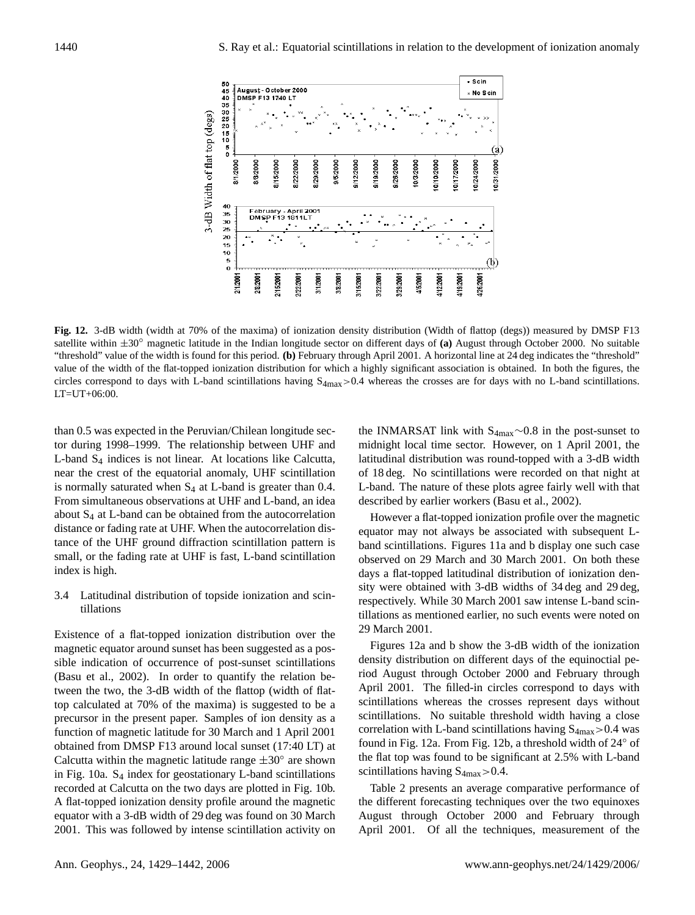

**Fig. 12.** 3-dB width (width at 70% of the maxima) of ionization density distribution (Width of flattop (degs)) measured by DMSP F13 satellite within ±30◦ magnetic latitude in the Indian longitude sector on different days of **(a)** August through October 2000. No suitable "threshold" value of the width is found for this period. **(b)** February through April 2001. A horizontal line at 24 deg indicates the "threshold" value of the width of the flat-topped ionization distribution for which a highly significant association is obtained. In both the figures, the circles correspond to days with L-band scintillations having  $S_{4max} > 0.4$  whereas the crosses are for days with no L-band scintillations. LT=UT+06:00.

than 0.5 was expected in the Peruvian/Chilean longitude sector during 1998–1999. The relationship between UHF and L-band S<sup>4</sup> indices is not linear. At locations like Calcutta, near the crest of the equatorial anomaly, UHF scintillation is normally saturated when  $S_4$  at L-band is greater than 0.4. From simultaneous observations at UHF and L-band, an idea about  $S_4$  at L-band can be obtained from the autocorrelation distance or fading rate at UHF. When the autocorrelation distance of the UHF ground diffraction scintillation pattern is small, or the fading rate at UHF is fast, L-band scintillation index is high.

## 3.4 Latitudinal distribution of topside ionization and scintillations

Existence of a flat-topped ionization distribution over the magnetic equator around sunset has been suggested as a possible indication of occurrence of post-sunset scintillations (Basu et al., 2002). In order to quantify the relation between the two, the 3-dB width of the flattop (width of flattop calculated at 70% of the maxima) is suggested to be a precursor in the present paper. Samples of ion density as a function of magnetic latitude for 30 March and 1 April 2001 obtained from DMSP F13 around local sunset (17:40 LT) at Calcutta within the magnetic latitude range  $\pm 30^\circ$  are shown in Fig.  $10a$ . S<sub>4</sub> index for geostationary L-band scintillations recorded at Calcutta on the two days are plotted in Fig. 10b. A flat-topped ionization density profile around the magnetic equator with a 3-dB width of 29 deg was found on 30 March 2001. This was followed by intense scintillation activity on the INMARSAT link with S4max∼0.8 in the post-sunset to midnight local time sector. However, on 1 April 2001, the latitudinal distribution was round-topped with a 3-dB width of 18 deg. No scintillations were recorded on that night at L-band. The nature of these plots agree fairly well with that described by earlier workers (Basu et al., 2002).

However a flat-topped ionization profile over the magnetic equator may not always be associated with subsequent Lband scintillations. Figures 11a and b display one such case observed on 29 March and 30 March 2001. On both these days a flat-topped latitudinal distribution of ionization density were obtained with 3-dB widths of 34 deg and 29 deg, respectively. While 30 March 2001 saw intense L-band scintillations as mentioned earlier, no such events were noted on 29 March 2001.

Figures 12a and b show the 3-dB width of the ionization density distribution on different days of the equinoctial period August through October 2000 and February through April 2001. The filled-in circles correspond to days with scintillations whereas the crosses represent days without scintillations. No suitable threshold width having a close correlation with L-band scintillations having  $S_{4max} > 0.4$  was found in Fig. 12a. From Fig. 12b, a threshold width of 24◦ of the flat top was found to be significant at 2.5% with L-band scintillations having  $S_{4max}$  > 0.4.

Table 2 presents an average comparative performance of the different forecasting techniques over the two equinoxes August through October 2000 and February through April 2001. Of all the techniques, measurement of the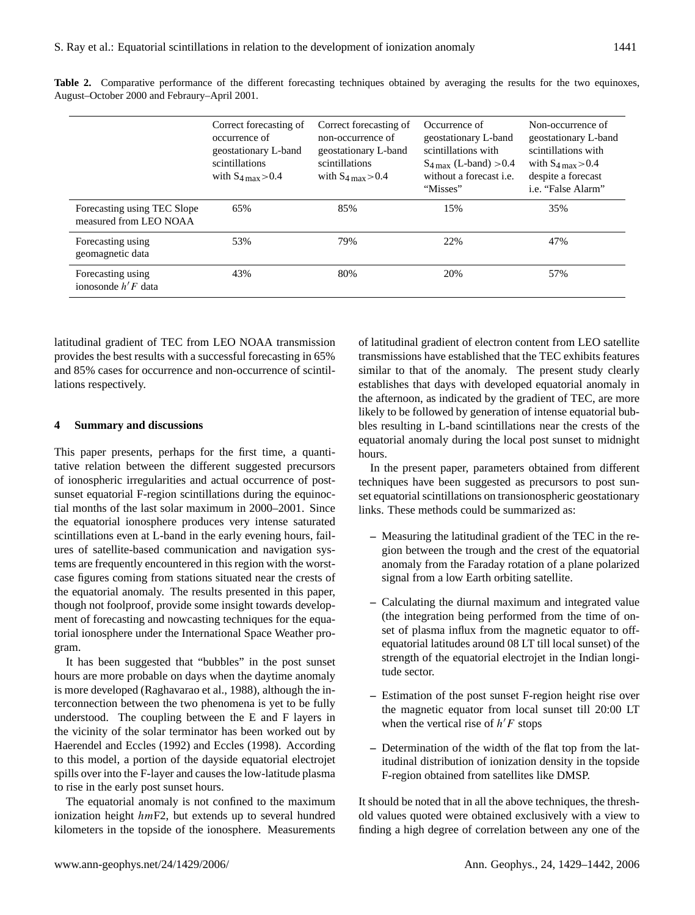|                                                       | Correct forecasting of<br>occurrence of<br>geostationary L-band<br>scintillations<br>with $S_{4 \text{ max}} > 0.4$ | Correct forecasting of<br>non-occurrence of<br>geostationary L-band<br>scintillations<br>with $S_{4 \text{ max}} > 0.4$ | Occurrence of<br>geostationary L-band<br>scintillations with<br>$S_{4 \max}$ (L-band) > 0.4<br>without a forecast <i>i.e.</i><br>"Misses" | Non-occurrence of<br>geostationary L-band<br>scintillations with<br>with $S_{4 \text{ max}} > 0.4$<br>despite a forecast<br>i.e. "False Alarm" |
|-------------------------------------------------------|---------------------------------------------------------------------------------------------------------------------|-------------------------------------------------------------------------------------------------------------------------|-------------------------------------------------------------------------------------------------------------------------------------------|------------------------------------------------------------------------------------------------------------------------------------------------|
| Forecasting using TEC Slope<br>measured from LEO NOAA | 65%                                                                                                                 | 85%                                                                                                                     | 15%                                                                                                                                       | 35%                                                                                                                                            |
| Forecasting using<br>geomagnetic data                 | 53%                                                                                                                 | 79%                                                                                                                     | 22%                                                                                                                                       | 47%                                                                                                                                            |
| Forecasting using<br>ionosonde $h'F$ data             | 43%                                                                                                                 | 80%                                                                                                                     | 20%                                                                                                                                       | 57%                                                                                                                                            |

Table 2. Comparative performance of the different forecasting techniques obtained by averaging the results for the two equinoxes, August–October 2000 and Febraury–April 2001.

latitudinal gradient of TEC from LEO NOAA transmission provides the best results with a successful forecasting in 65% and 85% cases for occurrence and non-occurrence of scintillations respectively.

## **4 Summary and discussions**

This paper presents, perhaps for the first time, a quantitative relation between the different suggested precursors of ionospheric irregularities and actual occurrence of postsunset equatorial F-region scintillations during the equinoctial months of the last solar maximum in 2000–2001. Since the equatorial ionosphere produces very intense saturated scintillations even at L-band in the early evening hours, failures of satellite-based communication and navigation systems are frequently encountered in this region with the worstcase figures coming from stations situated near the crests of the equatorial anomaly. The results presented in this paper, though not foolproof, provide some insight towards development of forecasting and nowcasting techniques for the equatorial ionosphere under the International Space Weather program.

It has been suggested that "bubbles" in the post sunset hours are more probable on days when the daytime anomaly is more developed (Raghavarao et al., 1988), although the interconnection between the two phenomena is yet to be fully understood. The coupling between the E and F layers in the vicinity of the solar terminator has been worked out by Haerendel and Eccles (1992) and Eccles (1998). According to this model, a portion of the dayside equatorial electrojet spills over into the F-layer and causes the low-latitude plasma to rise in the early post sunset hours.

The equatorial anomaly is not confined to the maximum ionization height hmF2, but extends up to several hundred kilometers in the topside of the ionosphere. Measurements

of latitudinal gradient of electron content from LEO satellite transmissions have established that the TEC exhibits features similar to that of the anomaly. The present study clearly establishes that days with developed equatorial anomaly in the afternoon, as indicated by the gradient of TEC, are more likely to be followed by generation of intense equatorial bubbles resulting in L-band scintillations near the crests of the equatorial anomaly during the local post sunset to midnight hours.

In the present paper, parameters obtained from different techniques have been suggested as precursors to post sunset equatorial scintillations on transionospheric geostationary links. These methods could be summarized as:

- **–** Measuring the latitudinal gradient of the TEC in the region between the trough and the crest of the equatorial anomaly from the Faraday rotation of a plane polarized signal from a low Earth orbiting satellite.
- **–** Calculating the diurnal maximum and integrated value (the integration being performed from the time of onset of plasma influx from the magnetic equator to offequatorial latitudes around 08 LT till local sunset) of the strength of the equatorial electrojet in the Indian longitude sector.
- **–** Estimation of the post sunset F-region height rise over the magnetic equator from local sunset till 20:00 LT when the vertical rise of  $h'F$  stops
- **–** Determination of the width of the flat top from the latitudinal distribution of ionization density in the topside F-region obtained from satellites like DMSP.

It should be noted that in all the above techniques, the threshold values quoted were obtained exclusively with a view to finding a high degree of correlation between any one of the